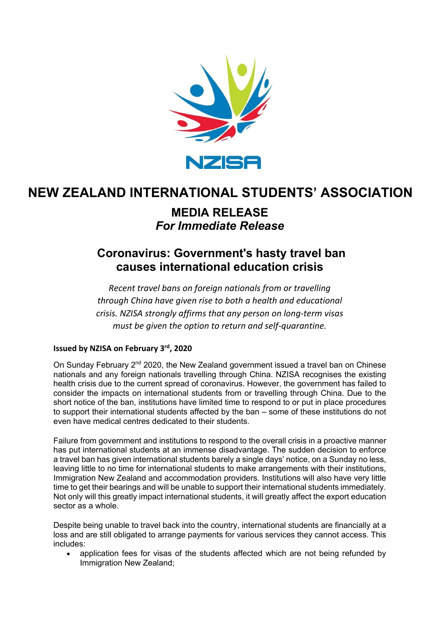

# **NEW ZEALAND INTERNATIONAL STUDENTS' ASSOCIATION**

## **MEDIA RELEASE** *For Immediate Release*

## **Coronavirus: Government's hasty travel ban causes international education crisis**

*Recent travel bans on foreign nationals from or travelling through China have given rise to both a health and educational crisis. NZISA strongly affirms that any person on long-term visas must be given the option to return and self-quarantine.*

### **Issued by NZISA on February 3rd, 2020**

On Sunday February 2<sup>nd</sup> 2020, the New Zealand government issued a travel ban on Chinese nationals and any foreign nationals travelling through China. NZISA recognises the existing health crisis due to the current spread of coronavirus. However, the government has failed to consider the impacts on international students from or travelling through China. Due to the short notice of the ban, institutions have limited time to respond to or put in place procedures to support their international students affected by the ban – some of these institutions do not even have medical centres dedicated to their students.

Failure from government and institutions to respond to the overall crisis in a proactive manner has put international students at an immense disadvantage. The sudden decision to enforce a travel ban has given international students barely a single days' notice, on a Sunday no less, leaving little to no time for international students to make arrangements with their institutions, Immigration New Zealand and accommodation providers. Institutions will also have very little time to get their bearings and will be unable to support their international students immediately. Not only will this greatly impact international students, it will greatly affect the export education sector as a whole.

Despite being unable to travel back into the country, international students are financially at a loss and are still obligated to arrange payments for various services they cannot access. This includes:

• application fees for visas of the students affected which are not being refunded by Immigration New Zealand;